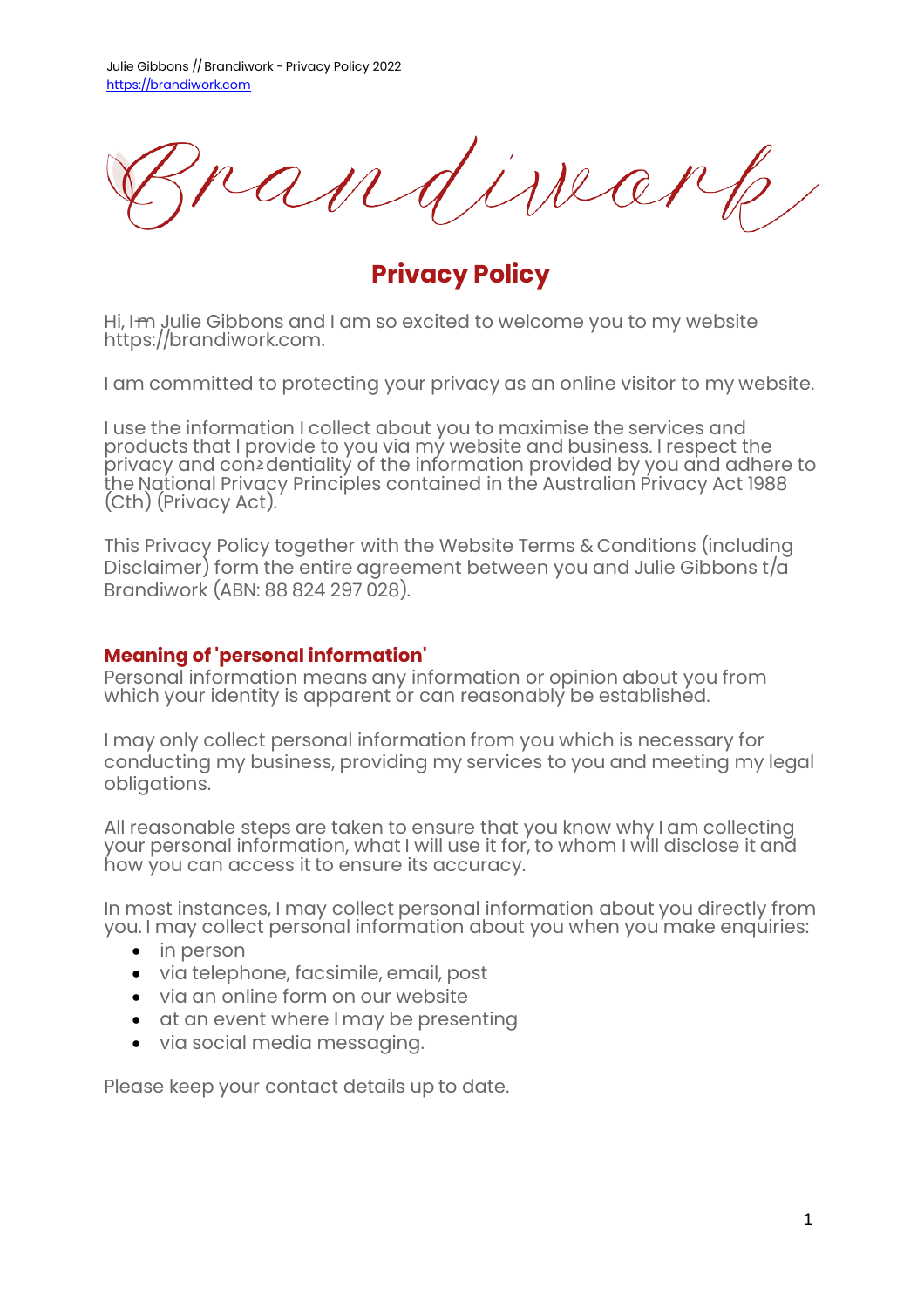issea

**Privacy Policy**

Hi, I-m Julie Gibbons and I am so excited to welcome you to my website https://brandiwork.com.

I am committed to protecting your privacy as an online visitor to my website.

I use the information I collect about you to maximise the services and products that I provide to you via my website and business. I respect the privacy and con≥dentiality of the information provided by you and adhere to the National Privacy Principles contained in the Australian Privacy Act 1988 (Cth) (Privacy Act).

This Privacy Policy together with the Website Terms & Conditions (including Disclaimer) form the entire agreement between you and Julie Gibbons t/a Brandiwork (ABN: 88 824 297 028).

### **Meaning of 'personal information'**

Personal information means any information or opinion about you from which your identity is apparent or can reasonably be established.

I may only collect personal information from you which is necessary for conducting my business, providing my services to you and meeting my legal obligations.

All reasonable steps are taken to ensure that you know why I am collecting your personal information, what I will use it for, to whom I will disclose it and how you can access it to ensure its accuracy.

In most instances, I may collect personal information about you directly from you. I may collect personal information about you when you make enquiries:

- in person
- � via telephone, facsimile, email, post
- via an online form on our website
- � at an event where I may be presenting
- � via social media messaging.

Please keep your contact details up to date.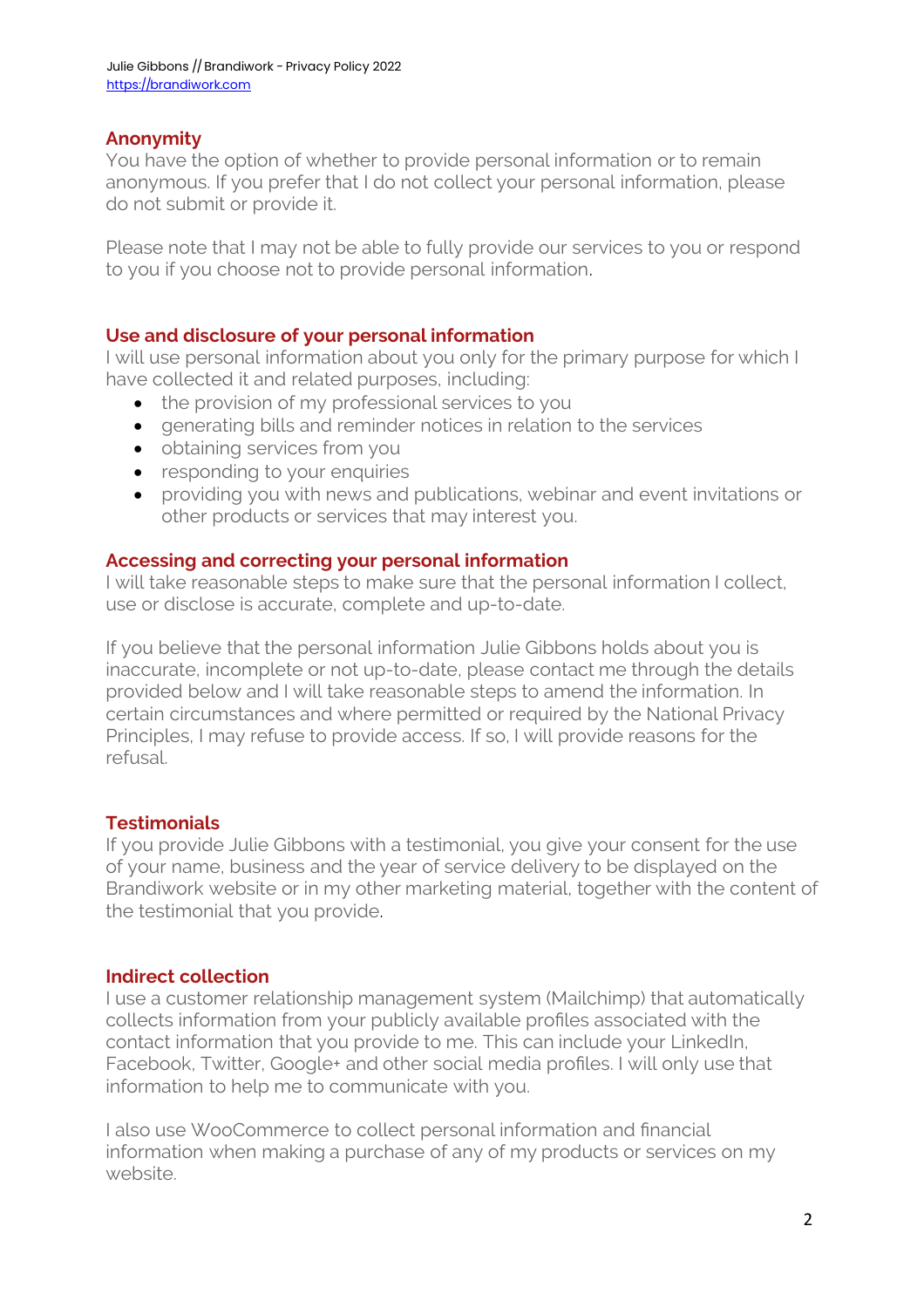# **Anonymity**

You have the option of whether to provide personal information or to remain anonymous. If you prefer that I do not collect your personal information, please do not submit or provide it.

Please note that I may not be able to fully provide our services to you or respond to you if you choose not to provide personal information.

## **Use and disclosure of your personal information**

I will use personal information about you only for the primary purpose for which I have collected it and related purposes, including:

- the provision of my professional services to you
- � generating bills and reminder notices in relation to the services
- obtaining services from you
- responding to your enquiries
- � providing you with news and publications, webinar and event invitations or other products or services that may interest you.

## **Accessing and correcting your personal information**

I will take reasonable steps to make sure that the personal information I collect, use or disclose is accurate, complete and up-to-date.

If you believe that the personal information Julie Gibbons holds about you is inaccurate, incomplete or not up-to-date, please contact me through the details provided below and I will take reasonable steps to amend the information. In certain circumstances and where permitted or required by the National Privacy Principles, I may refuse to provide access. If so, I will provide reasons for the refusal.

## **Testimonials**

If you provide Julie Gibbons with a testimonial, you give your consent for the use of your name, business and the year of service delivery to be displayed on the Brandiwork website or in my other marketing material, together with the content of the testimonial that you provide.

## **Indirect collection**

I use a customer relationship management system (Mailchimp) that automatically collects information from your publicly available profiles associated with the contact information that you provide to me. This can include your LinkedIn, Facebook, Twitter, Google+ and other social media profiles. I will only use that information to help me to communicate with you.

I also use WooCommerce to collect personal information and financial information when making a purchase of any of my products or services on my website.